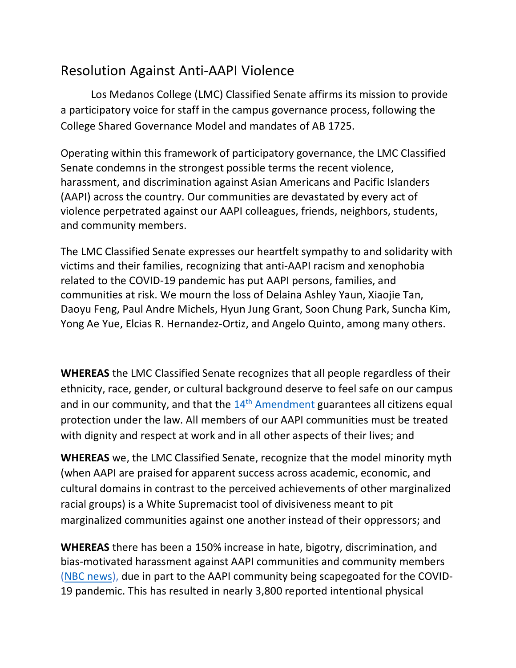## Resolution Against Anti-AAPI Violence

Los Medanos College (LMC) Classified Senate affirms its mission to provide a participatory voice for staff in the campus governance process, following the College Shared Governance Model and mandates of AB 1725.

Operating within this framework of participatory governance, the LMC Classified Senate condemns in the strongest possible terms the recent violence, harassment, and discrimination against Asian Americans and Pacific Islanders (AAPI) across the country. Our communities are devastated by every act of violence perpetrated against our AAPI colleagues, friends, neighbors, students, and community members.

The LMC Classified Senate expresses our heartfelt sympathy to and solidarity with victims and their families, recognizing that anti-AAPI racism and xenophobia related to the COVID-19 pandemic has put AAPI persons, families, and communities at risk. We mourn the loss of Delaina Ashley Yaun, Xiaojie Tan, Daoyu Feng, Paul Andre Michels, Hyun Jung Grant, Soon Chung Park, Suncha Kim, Yong Ae Yue, Elcias R. Hernandez-Ortiz, and Angelo Quinto, among many others.

**WHEREAS** the LMC Classified Senate recognizes that all people regardless of their ethnicity, race, gender, or cultural background deserve to feel safe on our campus and in our community, and that the  $14<sup>th</sup>$  [Amendment](https://constitution.congress.gov/browse/amendment-14/section-1/) guarantees all citizens equal protection under the law. All members of our AAPI communities must be treated with dignity and respect at work and in all other aspects of their lives; and

**WHEREAS** we, the LMC Classified Senate, recognize that the model minority myth (when AAPI are praised for apparent success across academic, economic, and cultural domains in contrast to the perceived achievements of other marginalized racial groups) is a White Supremacist tool of divisiveness meant to pit marginalized communities against one another instead of their oppressors; and

**WHEREAS** there has been a 150% increase in hate, bigotry, discrimination, and bias-motivated harassment against AAPI communities and community members [\(NBC news\)](https://www.nbcnews.com/news/asian-america/anti-asian-hate-crimes-increased-nearly-150-2020-mostly-n-n1260264), due in part to the AAPI community being scapegoated for the COVID-19 pandemic. This has resulted in nearly 3,800 reported intentional physical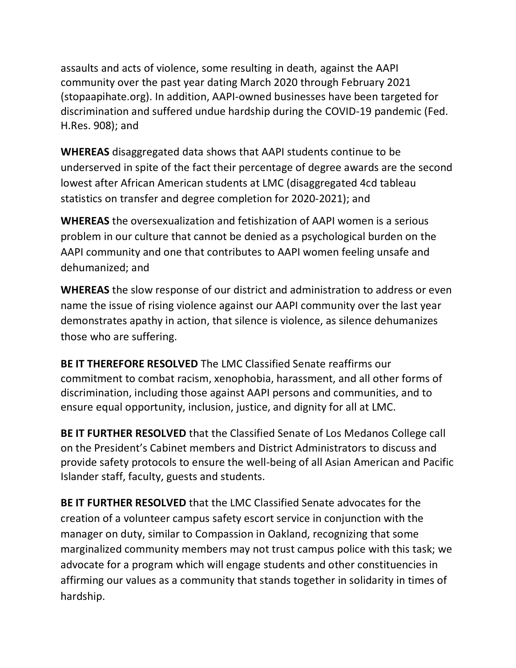assaults and acts of violence, some resulting in death, against the AAPI community over the past year dating March 2020 through February 2021 (stopaapihate.org). In addition, AAPI-owned businesses have been targeted for discrimination and suffered undue hardship during the COVID-19 pandemic (Fed. H.Res. 908); and

**WHEREAS** disaggregated data shows that AAPI students continue to be underserved in spite of the fact their percentage of degree awards are the second lowest after African American students at LMC (disaggregated 4cd tableau statistics on transfer and degree completion for 2020-2021); and

**WHEREAS** the oversexualization and fetishization of AAPI women is a serious problem in our culture that cannot be denied as a psychological burden on the AAPI community and one that contributes to AAPI women feeling unsafe and dehumanized; and

**WHEREAS** the slow response of our district and administration to address or even name the issue of rising violence against our AAPI community over the last year demonstrates apathy in action, that silence is violence, as silence dehumanizes those who are suffering.

**BE IT THEREFORE RESOLVED** The LMC Classified Senate reaffirms our commitment to combat racism, xenophobia, harassment, and all other forms of discrimination, including those against AAPI persons and communities, and to ensure equal opportunity, inclusion, justice, and dignity for all at LMC.

**BE IT FURTHER RESOLVED** that the Classified Senate of Los Medanos College call on the President's Cabinet members and District Administrators to discuss and provide safety protocols to ensure the well-being of all Asian American and Pacific Islander staff, faculty, guests and students.

**BE IT FURTHER RESOLVED** that the LMC Classified Senate advocates for the creation of a volunteer campus safety escort service in conjunction with the manager on duty, similar to Compassion in Oakland, recognizing that some marginalized community members may not trust campus police with this task; we advocate for a program which will engage students and other constituencies in affirming our values as a community that stands together in solidarity in times of hardship.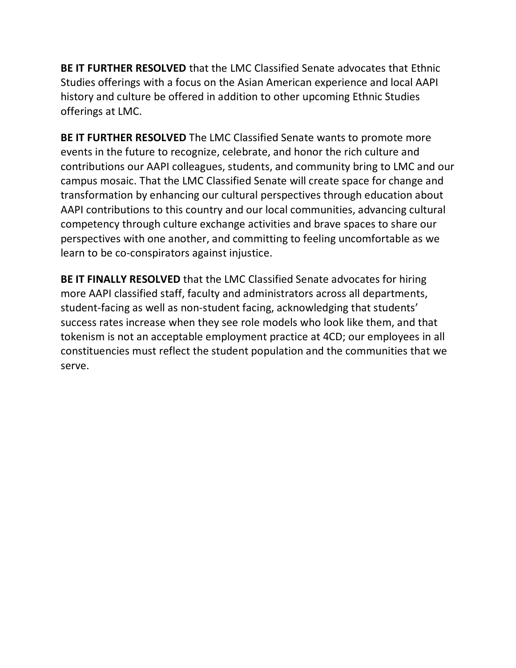**BE IT FURTHER RESOLVED** that the LMC Classified Senate advocates that Ethnic Studies offerings with a focus on the Asian American experience and local AAPI history and culture be offered in addition to other upcoming Ethnic Studies offerings at LMC.

**BE IT FURTHER RESOLVED** The LMC Classified Senate wants to promote more events in the future to recognize, celebrate, and honor the rich culture and contributions our AAPI colleagues, students, and community bring to LMC and our campus mosaic. That the LMC Classified Senate will create space for change and transformation by enhancing our cultural perspectives through education about AAPI contributions to this country and our local communities, advancing cultural competency through culture exchange activities and brave spaces to share our perspectives with one another, and committing to feeling uncomfortable as we learn to be co-conspirators against injustice.

**BE IT FINALLY RESOLVED** that the LMC Classified Senate advocates for hiring more AAPI classified staff, faculty and administrators across all departments, student-facing as well as non-student facing, acknowledging that students' success rates increase when they see role models who look like them, and that tokenism is not an acceptable employment practice at 4CD; our employees in all constituencies must reflect the student population and the communities that we serve.